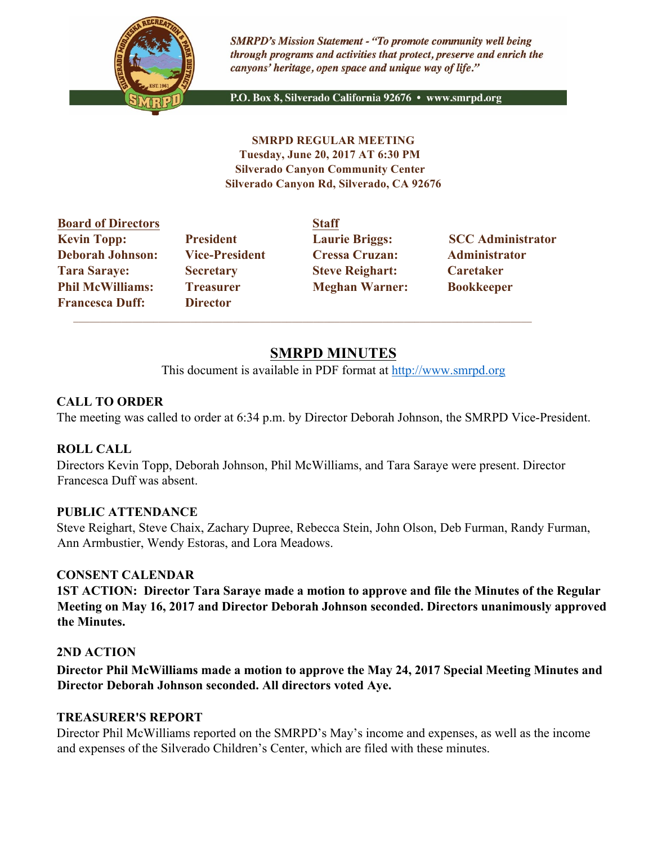

**SMRPD's Mission Statement - "To promote community well being** through programs and activities that protect, preserve and enrich the canyons' heritage, open space and unique way of life."

P.O. Box 8, Silverado California 92676 · www.smrpd.org

**SMRPD REGULAR MEETING Tuesday, June 20, 2017 AT 6:30 PM Silverado Canyon Community Center Silverado Canyon Rd, Silverado, CA 92676** 

| <b>Board of Directors</b> |                       | <b>Staff</b>           |                          |
|---------------------------|-----------------------|------------------------|--------------------------|
| <b>Kevin Topp:</b>        | <b>President</b>      | <b>Laurie Briggs:</b>  | <b>SCC Administrator</b> |
| <b>Deborah Johnson:</b>   | <b>Vice-President</b> | <b>Cressa Cruzan:</b>  | Administrator            |
| <b>Tara Saraye:</b>       | <b>Secretary</b>      | <b>Steve Reighart:</b> | <b>Caretaker</b>         |
| <b>Phil McWilliams:</b>   | <b>Treasurer</b>      | <b>Meghan Warner:</b>  | <b>Bookkeeper</b>        |
| <b>Francesca Duff:</b>    | <b>Director</b>       |                        |                          |

 $\mathcal{L}_\text{max}$  , and the set of the set of the set of the set of the set of the set of the set of the set of the set of

# **SMRPD MINUTES**

This document is available in PDF format at http://www.smrpd.org

# **CALL TO ORDER**

The meeting was called to order at 6:34 p.m. by Director Deborah Johnson, the SMRPD Vice-President.

### **ROLL CALL**

Directors Kevin Topp, Deborah Johnson, Phil McWilliams, and Tara Saraye were present. Director Francesca Duff was absent.

### **PUBLIC ATTENDANCE**

Steve Reighart, Steve Chaix, Zachary Dupree, Rebecca Stein, John Olson, Deb Furman, Randy Furman, Ann Armbustier, Wendy Estoras, and Lora Meadows.

### **CONSENT CALENDAR**

**1ST ACTION: Director Tara Saraye made a motion to approve and file the Minutes of the Regular Meeting on May 16, 2017 and Director Deborah Johnson seconded. Directors unanimously approved the Minutes.**

### **2ND ACTION**

**Director Phil McWilliams made a motion to approve the May 24, 2017 Special Meeting Minutes and Director Deborah Johnson seconded. All directors voted Aye.**

### **TREASURER'S REPORT**

Director Phil McWilliams reported on the SMRPD's May's income and expenses, as well as the income and expenses of the Silverado Children's Center, which are filed with these minutes.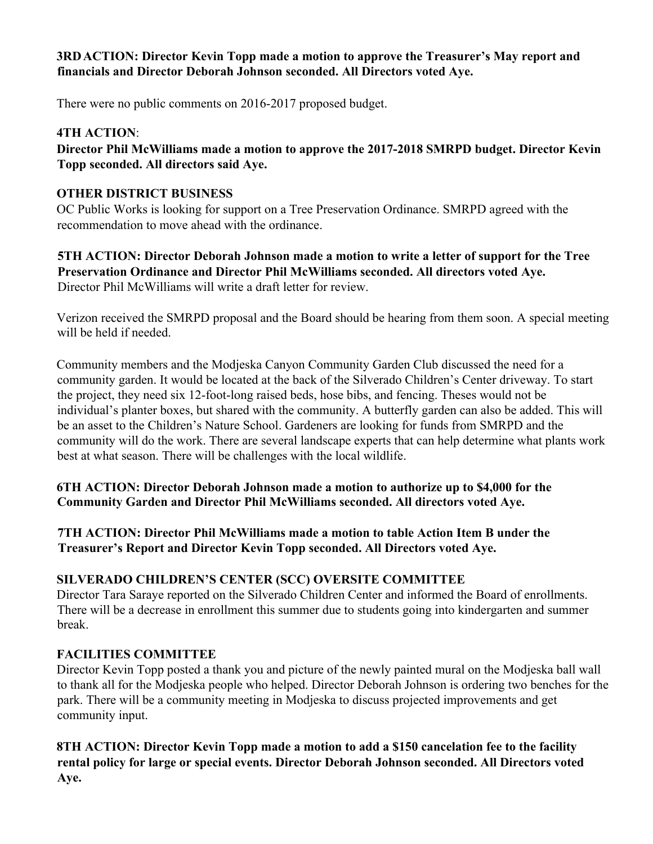### **3RDACTION: Director Kevin Topp made a motion to approve the Treasurer's May report and financials and Director Deborah Johnson seconded. All Directors voted Aye.**

There were no public comments on 2016-2017 proposed budget.

# **4TH ACTION**:

**Director Phil McWilliams made a motion to approve the 2017-2018 SMRPD budget. Director Kevin Topp seconded. All directors said Aye.**

# **OTHER DISTRICT BUSINESS**

OC Public Works is looking for support on a Tree Preservation Ordinance. SMRPD agreed with the recommendation to move ahead with the ordinance.

**5TH ACTION: Director Deborah Johnson made a motion to write a letter of support for the Tree Preservation Ordinance and Director Phil McWilliams seconded. All directors voted Aye.** Director Phil McWilliams will write a draft letter for review.

Verizon received the SMRPD proposal and the Board should be hearing from them soon. A special meeting will be held if needed.

Community members and the Modjeska Canyon Community Garden Club discussed the need for a community garden. It would be located at the back of the Silverado Children's Center driveway. To start the project, they need six 12-foot-long raised beds, hose bibs, and fencing. Theses would not be individual's planter boxes, but shared with the community. A butterfly garden can also be added. This will be an asset to the Children's Nature School. Gardeners are looking for funds from SMRPD and the community will do the work. There are several landscape experts that can help determine what plants work best at what season. There will be challenges with the local wildlife.

**6TH ACTION: Director Deborah Johnson made a motion to authorize up to \$4,000 for the Community Garden and Director Phil McWilliams seconded. All directors voted Aye.** 

**7TH ACTION: Director Phil McWilliams made a motion to table Action Item B under the Treasurer's Report and Director Kevin Topp seconded. All Directors voted Aye.**

# **SILVERADO CHILDREN'S CENTER (SCC) OVERSITE COMMITTEE**

Director Tara Saraye reported on the Silverado Children Center and informed the Board of enrollments. There will be a decrease in enrollment this summer due to students going into kindergarten and summer break.

# **FACILITIES COMMITTEE**

Director Kevin Topp posted a thank you and picture of the newly painted mural on the Modjeska ball wall to thank all for the Modjeska people who helped. Director Deborah Johnson is ordering two benches for the park. There will be a community meeting in Modjeska to discuss projected improvements and get community input.

**8TH ACTION: Director Kevin Topp made a motion to add a \$150 cancelation fee to the facility rental policy for large or special events. Director Deborah Johnson seconded. All Directors voted Aye.**